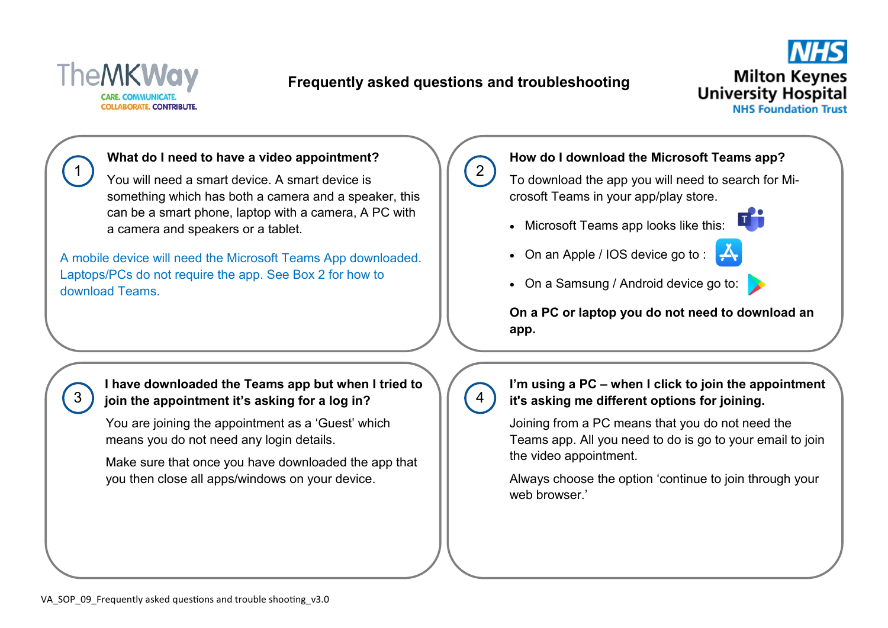

3

## **Frequently asked questions and troubleshooting**

 $\left( 2\right)$ 

4



### **What do I need to have a video appointment?**

You will need a smart device. A smart device is something which has both a camera and a speaker, this can be a smart phone, laptop with a camera, A PC with a camera and speakers or a tablet.

A mobile device will need the Microsoft Teams App downloaded. Laptops/PCs do not require the app. See Box 2 for how to download Teams.

### **I have downloaded the Teams app but when I tried to join the appointment it's asking for a log in?**

You are joining the appointment as a 'Guest' which means you do not need any login details.

Make sure that once you have downloaded the app that you then close all apps/windows on your device.

### **How do I download the Microsoft Teams app?**

To download the app you will need to search for Microsoft Teams in your app/play store.

- Microsoft Teams app looks like this:
- $\bullet$  On an Apple / IOS device go to :  $\mathbb{R}$



• On a Samsung / Android device go to:

**On a PC or laptop you do not need to download an app.** 

**I'm using a PC – when I click to join the appointment it's asking me different options for joining.** 

Joining from a PC means that you do not need the Teams app. All you need to do is go to your email to join the video appointment.

Always choose the option 'continue to join through your web browser.'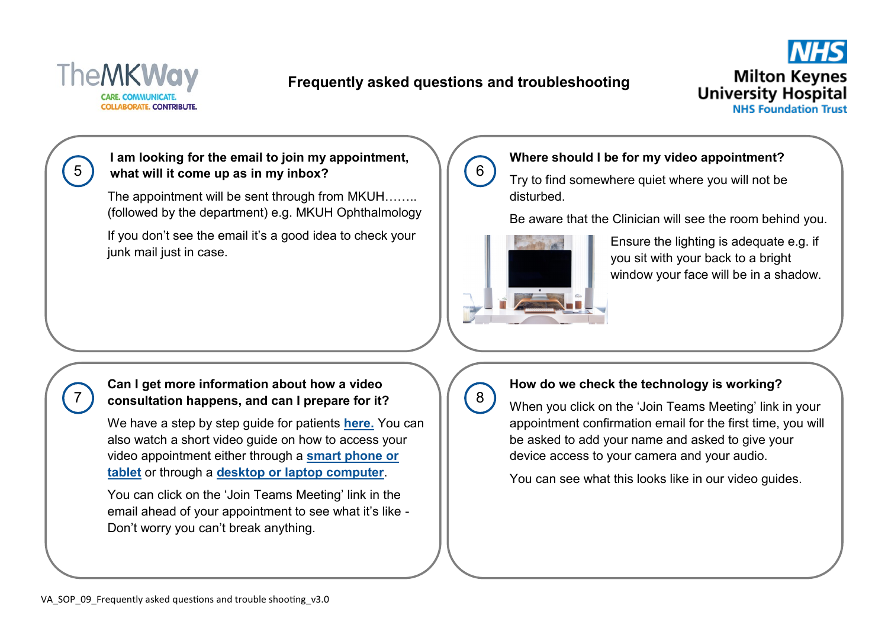

7

# **Frequently asked questions and troubleshooting**

6



**I am looking for the email to join my appointment, what will it come up as in my inbox?** 

The appointment will be sent through from MKUH…….. (followed by the department) e.g. MKUH Ophthalmology

If you don't see the email it's a good idea to check your junk mail just in case.

### **Where should I be for my video appointment?**

Try to find somewhere quiet where you will not be disturbed.

Be aware that the Clinician will see the room behind you.



Ensure the lighting is adequate e.g. if you sit with your back to a bright window your face will be in a shadow.

### **Can I get more information about how a video consultation happens, and can I prepare for it?**

We have a step by step guide for patients **[here.](https://www.mkuh.nhs.uk/wp-content/uploads/2020/04/SOP-005-Patient-Video-Consultation-V5-005.pdf)** You can [also watch a short video guide on how to access your](https://web.microsoftstream.com/video/da7704fd-cd0f-47b3-8bd8-95d7a3d1d9b2)  video appointment either through a **[smart phone or](https://youtu.be/AEvSkiI3pdo)  [tablet](https://youtu.be/AEvSkiI3pdo)** or through a **[desktop or laptop computer](https://youtu.be/7cT3-eBlfBQ)**.

You can click on the 'Join Teams Meeting' link in the email ahead of your appointment to see what it's like - Don't worry you can't break anything.

# 8

### **How do we check the technology is working?**

When you click on the 'Join Teams Meeting' link in your appointment confirmation email for the first time, you will be asked to add your name and asked to give your device access to your camera and your audio.

You can see what this looks like in our video guides.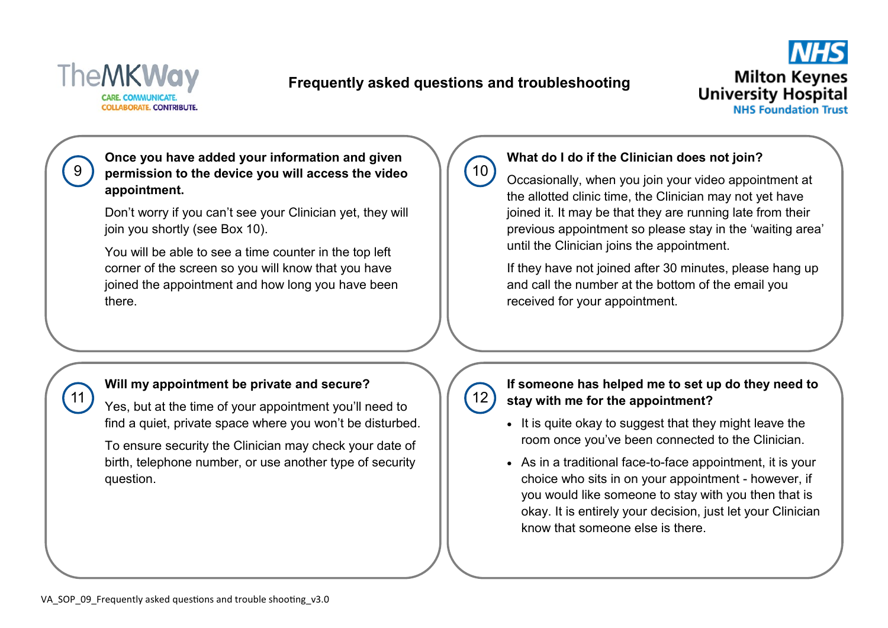

11

## **Frequently asked questions and troubleshooting**



**Once you have added your information and given permission to the device you will access the video appointment.** 

Don't worry if you can't see your Clinician yet, they will join you shortly (see Box 10).

You will be able to see a time counter in the top left corner of the screen so you will know that you have joined the appointment and how long you have been there.

# $(10)$

### **What do I do if the Clinician does not join?**

Occasionally, when you join your video appointment at the allotted clinic time, the Clinician may not yet have joined it. It may be that they are running late from their previous appointment so please stay in the 'waiting area' until the Clinician joins the appointment.

If they have not joined after 30 minutes, please hang up and call the number at the bottom of the email you received for your appointment.

### **Will my appointment be private and secure?**

Yes, but at the time of your appointment you'll need to find a quiet, private space where you won't be disturbed.

To ensure security the Clinician may check your date of birth, telephone number, or use another type of security question.

 $12)$ 

### **If someone has helped me to set up do they need to stay with me for the appointment?**

- It is quite okay to suggest that they might leave the room once you've been connected to the Clinician.
- As in a traditional face-to-face appointment, it is your choice who sits in on your appointment - however, if you would like someone to stay with you then that is okay. It is entirely your decision, just let your Clinician know that someone else is there.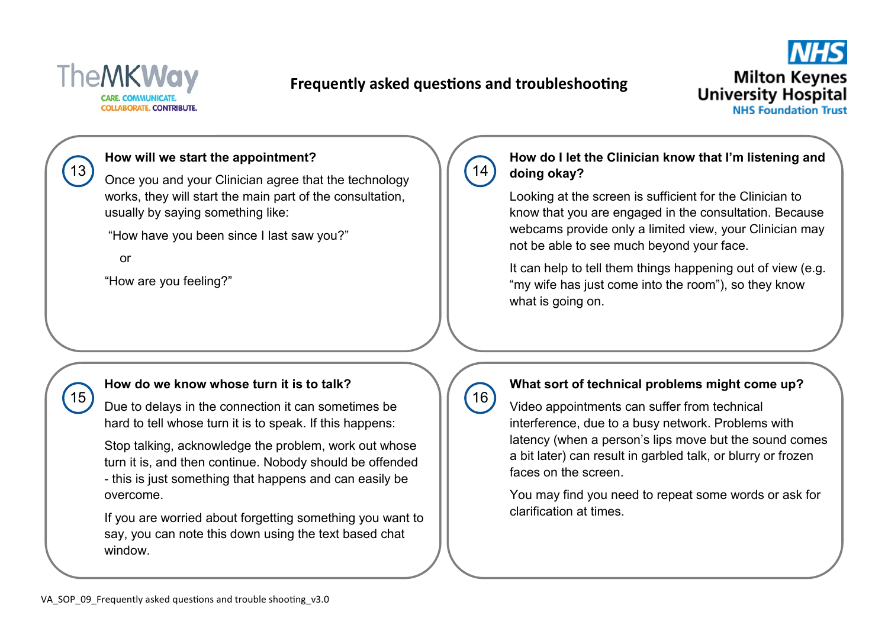

# **Frequently asked questions and troubleshooting**



### **How will we start the appointment?**

Once you and your Clinician agree that the technology works, they will start the main part of the consultation, usually by saying something like:

"How have you been since I last saw you?"

or

 $13$ 

 $(15)$ 

"How are you feeling?"

# $14$

### **How do I let the Clinician know that I'm listening and doing okay?**

Looking at the screen is sufficient for the Clinician to know that you are engaged in the consultation. Because webcams provide only a limited view, your Clinician may not be able to see much beyond your face.

It can help to tell them things happening out of view (e.g. "my wife has just come into the room"), so they know what is going on.

#### **How do we know whose turn it is to talk?**

Due to delays in the connection it can sometimes be hard to tell whose turn it is to speak. If this happens:

Stop talking, acknowledge the problem, work out whose turn it is, and then continue. Nobody should be offended - this is just something that happens and can easily be overcome.

If you are worried about forgetting something you want to say, you can note this down using the text based chat window.

# $(16)$

### **What sort of technical problems might come up?**

Video appointments can suffer from technical interference, due to a busy network. Problems with latency (when a person's lips move but the sound comes a bit later) can result in garbled talk, or blurry or frozen faces on the screen.

You may find you need to repeat some words or ask for clarification at times.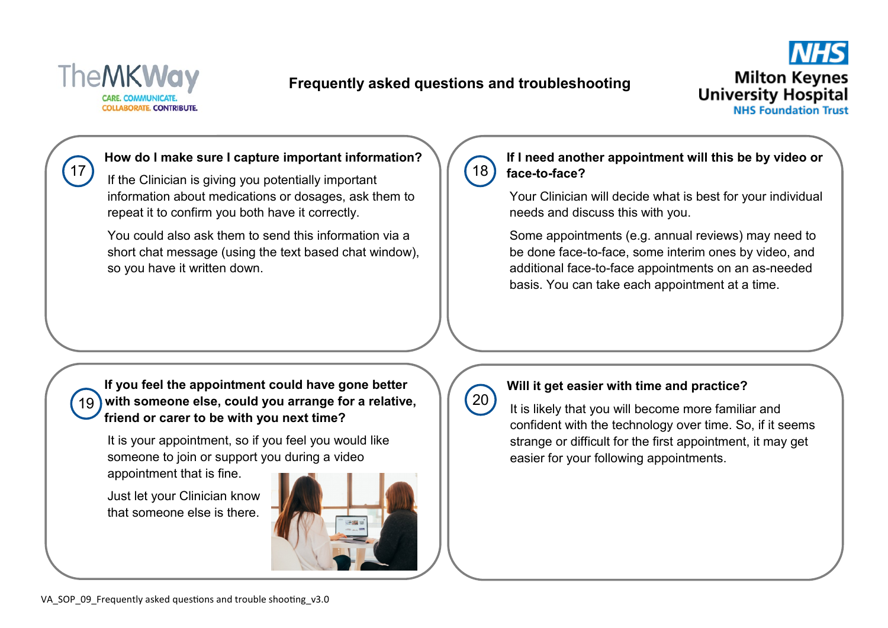

# **Frequently asked questions and troubleshooting**



### **How do I make sure I capture important information?**

If the Clinician is giving you potentially important information about medications or dosages, ask them to repeat it to confirm you both have it correctly.

You could also ask them to send this information via a short chat message (using the text based chat window), so you have it written down.

# $(18)$

### **If I need another appointment will this be by video or face-to-face?**

Your Clinician will decide what is best for your individual needs and discuss this with you.

Some appointments (e.g. annual reviews) may need to be done face-to-face, some interim ones by video, and additional face-to-face appointments on an as-needed basis. You can take each appointment at a time.

**If you feel the appointment could have gone better with someone else, could you arrange for a relative,**  19 **friend or carer to be with you next time?** 

It is your appointment, so if you feel you would like someone to join or support you during a video

appointment that is fine.

Just let your Clinician know that someone else is there.



# $(20)$

### **Will it get easier with time and practice?**

It is likely that you will become more familiar and confident with the technology over time. So, if it seems strange or difficult for the first appointment, it may get easier for your following appointments.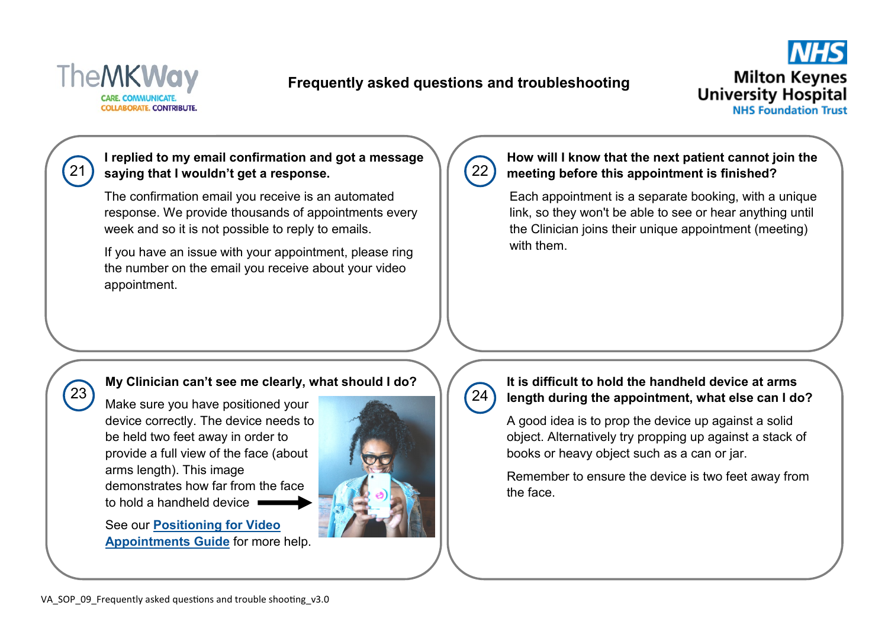

 $23$ 

## **Frequently asked questions and troubleshooting**



### **I replied to my email confirmation and got a message saying that I wouldn't get a response.**

The confirmation email you receive is an automated response. We provide thousands of appointments every week and so it is not possible to reply to emails.

If you have an issue with your appointment, please ring the number on the email you receive about your video appointment.

# $22)$

 $24$ 

### **How will I know that the next patient cannot join the meeting before this appointment is finished?**

Each appointment is a separate booking, with a unique link, so they won't be able to see or hear anything until the Clinician joins their unique appointment (meeting) with them.

### **My Clinician can't see me clearly, what should I do?**

Make sure you have positioned your device correctly. The device needs to be held two feet away in order to provide a full view of the face (about arms length). This image demonstrates how far from the face to hold a handheld device

See our **[Positioning for Video](https://www.mkuh.nhs.uk/wp-content/uploads/2020/05/SOP-008_Positioning-for-Video-Appointments_v2.0.pdf)  [Appointments Guide](https://www.mkuh.nhs.uk/wp-content/uploads/2020/05/SOP-008_Positioning-for-Video-Appointments_v2.0.pdf)** for more help.



## **It is difficult to hold the handheld device at arms length during the appointment, what else can I do?**

A good idea is to prop the device up against a solid object. Alternatively try propping up against a stack of books or heavy object such as a can or jar.

Remember to ensure the device is two feet away from the face.